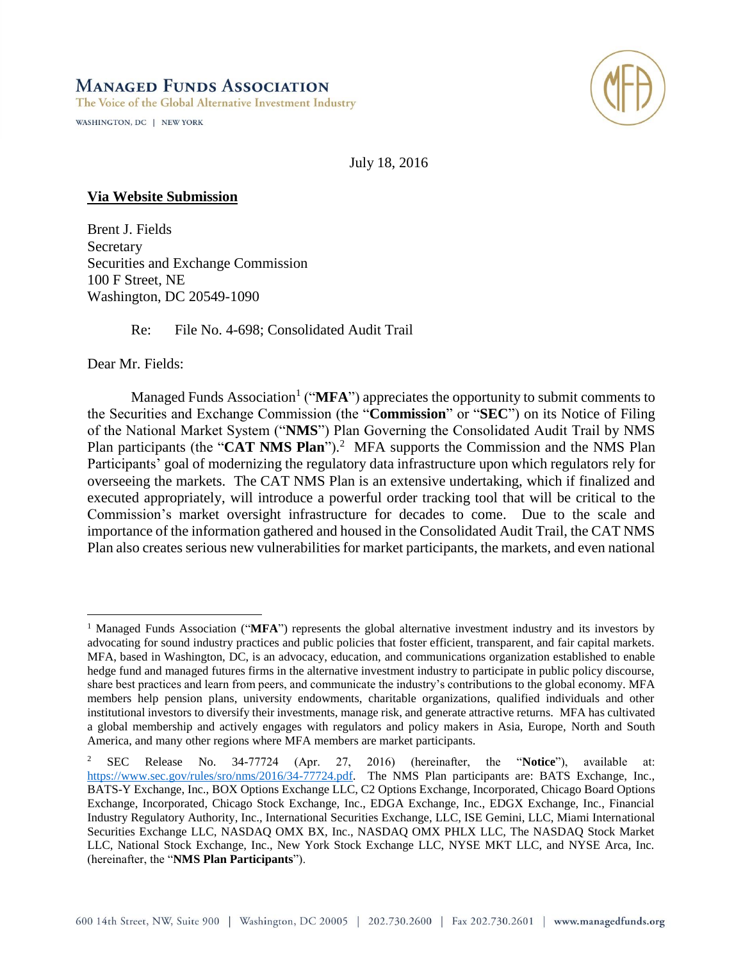# **MANAGED FUNDS ASSOCIATION**

The Voice of the Global Alternative Investment Industry

WASHINGTON, DC | NEW YORK



July 18, 2016

#### **Via Website Submission**

Brent J. Fields Secretary Securities and Exchange Commission 100 F Street, NE Washington, DC 20549-1090

Re: File No. 4-698; Consolidated Audit Trail

Dear Mr. Fields:

 $\overline{a}$ 

Managed Funds Association<sup>1</sup> ("MFA") appreciates the opportunity to submit comments to the Securities and Exchange Commission (the "**Commission**" or "**SEC**") on its Notice of Filing of the National Market System ("**NMS**") Plan Governing the Consolidated Audit Trail by NMS Plan participants (the "**CAT NMS Plan**").<sup>2</sup> MFA supports the Commission and the NMS Plan Participants' goal of modernizing the regulatory data infrastructure upon which regulators rely for overseeing the markets. The CAT NMS Plan is an extensive undertaking, which if finalized and executed appropriately, will introduce a powerful order tracking tool that will be critical to the Commission's market oversight infrastructure for decades to come. Due to the scale and importance of the information gathered and housed in the Consolidated Audit Trail, the CAT NMS Plan also creates serious new vulnerabilities for market participants, the markets, and even national

<sup>&</sup>lt;sup>1</sup> Managed Funds Association ("**MFA**") represents the global alternative investment industry and its investors by advocating for sound industry practices and public policies that foster efficient, transparent, and fair capital markets. MFA, based in Washington, DC, is an advocacy, education, and communications organization established to enable hedge fund and managed futures firms in the alternative investment industry to participate in public policy discourse, share best practices and learn from peers, and communicate the industry's contributions to the global economy. MFA members help pension plans, university endowments, charitable organizations, qualified individuals and other institutional investors to diversify their investments, manage risk, and generate attractive returns. MFA has cultivated a global membership and actively engages with regulators and policy makers in Asia, Europe, North and South America, and many other regions where MFA members are market participants.

<sup>2</sup> SEC Release No. 34-77724 (Apr. 27, 2016) (hereinafter, the "**Notice**"), available at: [https://www.sec.gov/rules/sro/nms/2016/34-77724.pdf.](https://www.sec.gov/rules/sro/nms/2016/34-77724.pdf) The NMS Plan participants are: BATS Exchange, Inc., BATS-Y Exchange, Inc., BOX Options Exchange LLC, C2 Options Exchange, Incorporated, Chicago Board Options Exchange, Incorporated, Chicago Stock Exchange, Inc., EDGA Exchange, Inc., EDGX Exchange, Inc., Financial Industry Regulatory Authority, Inc., International Securities Exchange, LLC, ISE Gemini, LLC, Miami International Securities Exchange LLC, NASDAQ OMX BX, Inc., NASDAQ OMX PHLX LLC, The NASDAQ Stock Market LLC, National Stock Exchange, Inc., New York Stock Exchange LLC, NYSE MKT LLC, and NYSE Arca, Inc. (hereinafter, the "**NMS Plan Participants**").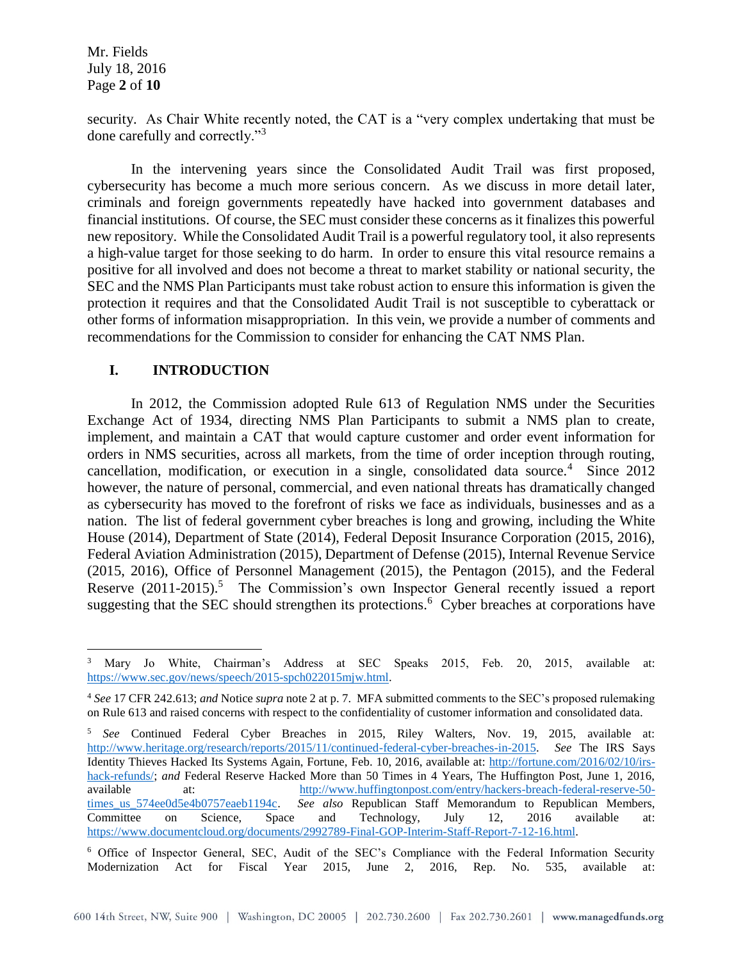Mr. Fields July 18, 2016 Page **2** of **10**

security. As Chair White recently noted, the CAT is a "very complex undertaking that must be done carefully and correctly."<sup>3</sup>

In the intervening years since the Consolidated Audit Trail was first proposed, cybersecurity has become a much more serious concern. As we discuss in more detail later, criminals and foreign governments repeatedly have hacked into government databases and financial institutions. Of course, the SEC must consider these concerns as it finalizes this powerful new repository. While the Consolidated Audit Trail is a powerful regulatory tool, it also represents a high-value target for those seeking to do harm. In order to ensure this vital resource remains a positive for all involved and does not become a threat to market stability or national security, the SEC and the NMS Plan Participants must take robust action to ensure this information is given the protection it requires and that the Consolidated Audit Trail is not susceptible to cyberattack or other forms of information misappropriation. In this vein, we provide a number of comments and recommendations for the Commission to consider for enhancing the CAT NMS Plan.

### **I. INTRODUCTION**

In 2012, the Commission adopted Rule 613 of Regulation NMS under the Securities Exchange Act of 1934, directing NMS Plan Participants to submit a NMS plan to create, implement, and maintain a CAT that would capture customer and order event information for orders in NMS securities, across all markets, from the time of order inception through routing, cancellation, modification, or execution in a single, consolidated data source.<sup>4</sup> Since 2012 however, the nature of personal, commercial, and even national threats has dramatically changed as cybersecurity has moved to the forefront of risks we face as individuals, businesses and as a nation. The list of federal government cyber breaches is long and growing, including the White House (2014), Department of State (2014), Federal Deposit Insurance Corporation (2015, 2016), Federal Aviation Administration (2015), Department of Defense (2015), Internal Revenue Service (2015, 2016), Office of Personnel Management (2015), the Pentagon (2015), and the Federal Reserve  $(2011-2015)$ .<sup>5</sup> The Commission's own Inspector General recently issued a report suggesting that the SEC should strengthen its protections.<sup>6</sup> Cyber breaches at corporations have

 $\overline{a}$ <sup>3</sup> Mary Jo White, Chairman's Address at SEC Speaks 2015, Feb. 20, 2015, available at: [https://www.sec.gov/news/speech/2015-spch022015mjw.html.](https://www.sec.gov/news/speech/2015-spch022015mjw.html)

<sup>4</sup> *See* 17 CFR 242.613; *and* Notice *supra* note 2 at p. 7. MFA submitted comments to the SEC's proposed rulemaking on Rule 613 and raised concerns with respect to the confidentiality of customer information and consolidated data.

<sup>5</sup> *See* Continued Federal Cyber Breaches in 2015, Riley Walters, Nov. 19, 2015, available at: [http://www.heritage.org/research/reports/2015/11/continued-federal-cyber-breaches-in-2015.](http://www.heritage.org/research/reports/2015/11/continued-federal-cyber-breaches-in-2015) *See* The IRS Says Identity Thieves Hacked Its Systems Again, Fortune, Feb. 10, 2016, available at: [http://fortune.com/2016/02/10/irs](http://fortune.com/2016/02/10/irs-hack-refunds/)[hack-refunds/;](http://fortune.com/2016/02/10/irs-hack-refunds/) *and* Federal Reserve Hacked More than 50 Times in 4 Years, The Huffington Post, June 1, 2016, available at: [http://www.huffingtonpost.com/entry/hackers-breach-federal-reserve-50](http://www.huffingtonpost.com/entry/hackers-breach-federal-reserve-50-times_us_574ee0d5e4b0757eaeb1194c) [times\\_us\\_574ee0d5e4b0757eaeb1194c.](http://www.huffingtonpost.com/entry/hackers-breach-federal-reserve-50-times_us_574ee0d5e4b0757eaeb1194c) *See also* Republican Staff Memorandum to Republican Members, Committee on Science, Space and Technology, July 12, 2016 available at: [https://www.documentcloud.org/documents/2992789-Final-GOP-Interim-Staff-Report-7-12-16.html.](https://www.documentcloud.org/documents/2992789-Final-GOP-Interim-Staff-Report-7-12-16.html) 

<sup>6</sup> Office of Inspector General, SEC, Audit of the SEC's Compliance with the Federal Information Security Modernization Act for Fiscal Year 2015, June 2, 2016, Rep. No. 535, available at: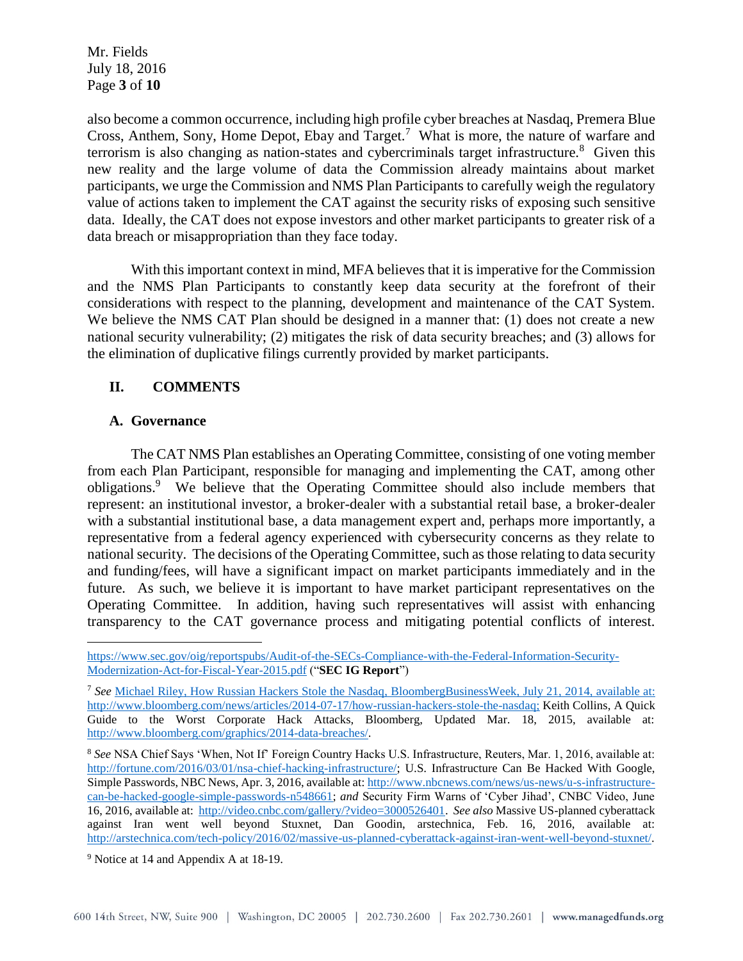Mr. Fields July 18, 2016 Page **3** of **10**

also become a common occurrence, including high profile cyber breaches at Nasdaq, Premera Blue Cross, Anthem, Sony, Home Depot, Ebay and Target.<sup>7</sup> What is more, the nature of warfare and terrorism is also changing as nation-states and cybercriminals target infrastructure.<sup>8</sup> Given this new reality and the large volume of data the Commission already maintains about market participants, we urge the Commission and NMS Plan Participants to carefully weigh the regulatory value of actions taken to implement the CAT against the security risks of exposing such sensitive data. Ideally, the CAT does not expose investors and other market participants to greater risk of a data breach or misappropriation than they face today.

With this important context in mind, MFA believes that it is imperative for the Commission and the NMS Plan Participants to constantly keep data security at the forefront of their considerations with respect to the planning, development and maintenance of the CAT System. We believe the NMS CAT Plan should be designed in a manner that: (1) does not create a new national security vulnerability; (2) mitigates the risk of data security breaches; and (3) allows for the elimination of duplicative filings currently provided by market participants.

# **II. COMMENTS**

### **A. Governance**

 $\overline{a}$ 

The CAT NMS Plan establishes an Operating Committee, consisting of one voting member from each Plan Participant, responsible for managing and implementing the CAT, among other obligations.<sup>9</sup> We believe that the Operating Committee should also include members that represent: an institutional investor, a broker-dealer with a substantial retail base, a broker-dealer with a substantial institutional base, a data management expert and, perhaps more importantly, a representative from a federal agency experienced with cybersecurity concerns as they relate to national security. The decisions of the Operating Committee, such as those relating to data security and funding/fees, will have a significant impact on market participants immediately and in the future. As such, we believe it is important to have market participant representatives on the Operating Committee. In addition, having such representatives will assist with enhancing transparency to the CAT governance process and mitigating potential conflicts of interest.

[https://www.sec.gov/oig/reportspubs/Audit-of-the-SECs-Compliance-with-the-Federal-Information-Security-](https://www.sec.gov/oig/reportspubs/Audit-of-the-SECs-Compliance-with-the-Federal-Information-Security-Modernization-Act-for-Fiscal-Year-2015.pdf)[Modernization-Act-for-Fiscal-Year-2015.pdf](https://www.sec.gov/oig/reportspubs/Audit-of-the-SECs-Compliance-with-the-Federal-Information-Security-Modernization-Act-for-Fiscal-Year-2015.pdf) ("**SEC IG Report**")

<sup>7</sup> *See* Michael Riley, How Russian Hackers Stole the Nasdaq, BloombergBusinessWeek, July 21, 2014, available at: http://www.bloomberg.com/news/articles/2014-07-17/how-russian-hackers-stole-the-nasdaq; Keith Collins, A Quick Guide to the Worst Corporate Hack Attacks, Bloomberg, Updated Mar. 18, 2015, available at: [http://www.bloomberg.com/graphics/2014-data-breaches/.](http://www.bloomberg.com/graphics/2014-data-breaches/)

<sup>8</sup> *See* NSA Chief Says 'When, Not If' Foreign Country Hacks U.S. Infrastructure, Reuters, Mar. 1, 2016, available at: [http://fortune.com/2016/03/01/nsa-chief-hacking-infrastructure/;](http://fortune.com/2016/03/01/nsa-chief-hacking-infrastructure/) U.S. Infrastructure Can Be Hacked With Google, Simple Passwords, NBC News, Apr. 3, 2016, available at: [http://www.nbcnews.com/news/us-news/u-s-infrastructure](http://www.nbcnews.com/news/us-news/u-s-infrastructure-can-be-hacked-google-simple-passwords-n548661)[can-be-hacked-google-simple-passwords-n548661;](http://www.nbcnews.com/news/us-news/u-s-infrastructure-can-be-hacked-google-simple-passwords-n548661) *and* Security Firm Warns of 'Cyber Jihad', CNBC Video, June 16, 2016, available at: [http://video.cnbc.com/gallery/?video=3000526401.](http://video.cnbc.com/gallery/?video=3000526401) *See also* Massive US-planned cyberattack against Iran went well beyond Stuxnet, Dan Goodin, arstechnica, Feb. 16, 2016, available at: [http://arstechnica.com/tech-policy/2016/02/massive-us-planned-cyberattack-against-iran-went-well-beyond-stuxnet/.](http://arstechnica.com/tech-policy/2016/02/massive-us-planned-cyberattack-against-iran-went-well-beyond-stuxnet/)

<sup>9</sup> Notice at 14 and Appendix A at 18-19.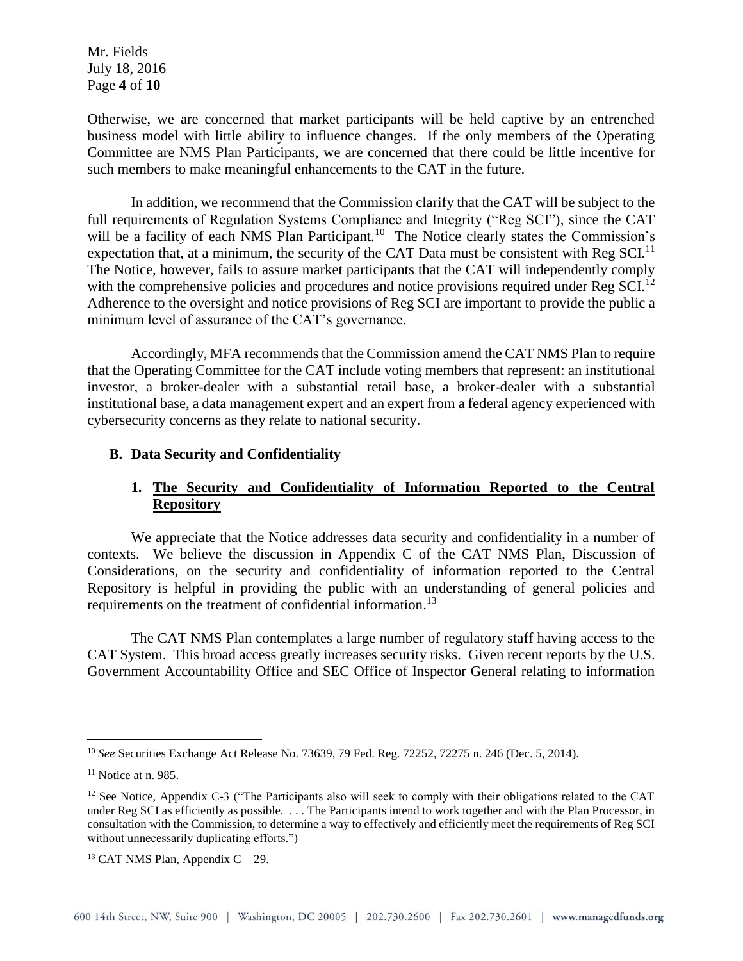Mr. Fields July 18, 2016 Page **4** of **10**

Otherwise, we are concerned that market participants will be held captive by an entrenched business model with little ability to influence changes. If the only members of the Operating Committee are NMS Plan Participants, we are concerned that there could be little incentive for such members to make meaningful enhancements to the CAT in the future.

In addition, we recommend that the Commission clarify that the CAT will be subject to the full requirements of Regulation Systems Compliance and Integrity ("Reg SCI"), since the CAT will be a facility of each NMS Plan Participant.<sup>10</sup> The Notice clearly states the Commission's expectation that, at a minimum, the security of the CAT Data must be consistent with Reg SCI.<sup>11</sup> The Notice, however, fails to assure market participants that the CAT will independently comply with the comprehensive policies and procedures and notice provisions required under Reg SCI.<sup>12</sup> Adherence to the oversight and notice provisions of Reg SCI are important to provide the public a minimum level of assurance of the CAT's governance.

Accordingly, MFA recommends that the Commission amend the CAT NMS Plan to require that the Operating Committee for the CAT include voting members that represent: an institutional investor, a broker-dealer with a substantial retail base, a broker-dealer with a substantial institutional base, a data management expert and an expert from a federal agency experienced with cybersecurity concerns as they relate to national security.

## **B. Data Security and Confidentiality**

# **1. The Security and Confidentiality of Information Reported to the Central Repository**

We appreciate that the Notice addresses data security and confidentiality in a number of contexts. We believe the discussion in Appendix C of the CAT NMS Plan, Discussion of Considerations, on the security and confidentiality of information reported to the Central Repository is helpful in providing the public with an understanding of general policies and requirements on the treatment of confidential information. 13

The CAT NMS Plan contemplates a large number of regulatory staff having access to the CAT System. This broad access greatly increases security risks. Given recent reports by the U.S. Government Accountability Office and SEC Office of Inspector General relating to information

<sup>10</sup> *See* Securities Exchange Act Release No. 73639, 79 Fed. Reg. 72252, 72275 n. 246 (Dec. 5, 2014).

 $11$  Notice at n. 985.

<sup>&</sup>lt;sup>12</sup> See Notice, Appendix C-3 ("The Participants also will seek to comply with their obligations related to the CAT under Reg SCI as efficiently as possible. . . . The Participants intend to work together and with the Plan Processor, in consultation with the Commission, to determine a way to effectively and efficiently meet the requirements of Reg SCI without unnecessarily duplicating efforts.")

 $13$  CAT NMS Plan, Appendix C – 29.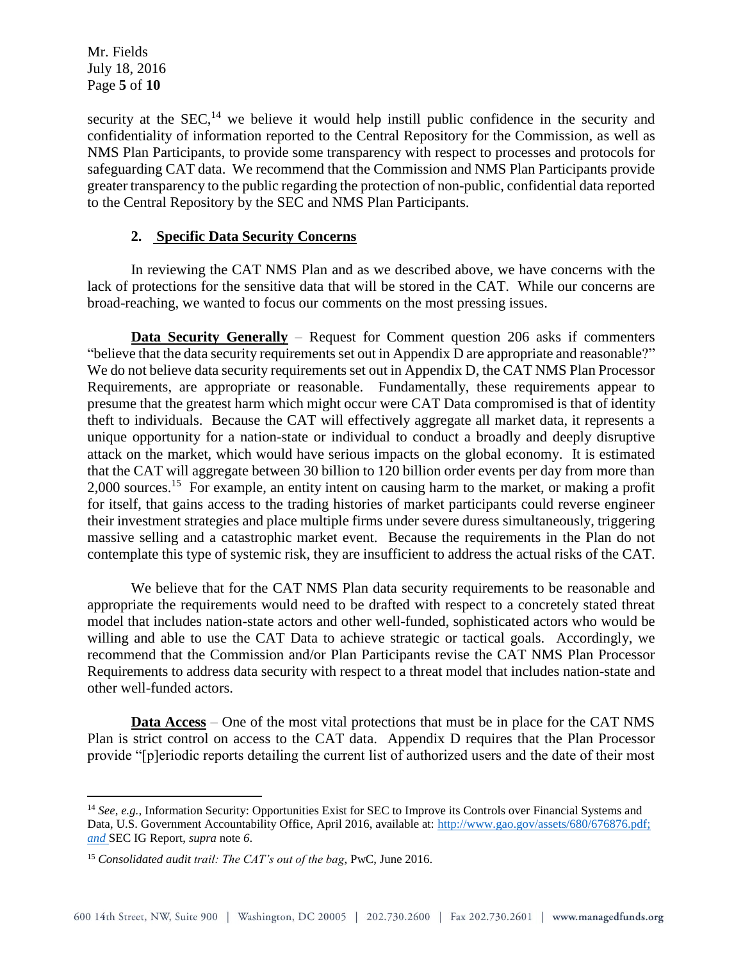Mr. Fields July 18, 2016 Page **5** of **10**

 $\overline{a}$ 

security at the  $SEC.14$  we believe it would help instill public confidence in the security and confidentiality of information reported to the Central Repository for the Commission, as well as NMS Plan Participants, to provide some transparency with respect to processes and protocols for safeguarding CAT data. We recommend that the Commission and NMS Plan Participants provide greater transparency to the public regarding the protection of non-public, confidential data reported to the Central Repository by the SEC and NMS Plan Participants.

## **2. Specific Data Security Concerns**

In reviewing the CAT NMS Plan and as we described above, we have concerns with the lack of protections for the sensitive data that will be stored in the CAT. While our concerns are broad-reaching, we wanted to focus our comments on the most pressing issues.

**Data Security Generally** – Request for Comment question 206 asks if commenters "believe that the data security requirements set out in Appendix D are appropriate and reasonable?" We do not believe data security requirements set out in Appendix D, the CAT NMS Plan Processor Requirements, are appropriate or reasonable. Fundamentally, these requirements appear to presume that the greatest harm which might occur were CAT Data compromised is that of identity theft to individuals. Because the CAT will effectively aggregate all market data, it represents a unique opportunity for a nation-state or individual to conduct a broadly and deeply disruptive attack on the market, which would have serious impacts on the global economy. It is estimated that the CAT will aggregate between 30 billion to 120 billion order events per day from more than 2,000 sources.<sup>15</sup> For example, an entity intent on causing harm to the market, or making a profit for itself, that gains access to the trading histories of market participants could reverse engineer their investment strategies and place multiple firms under severe duress simultaneously, triggering massive selling and a catastrophic market event. Because the requirements in the Plan do not contemplate this type of systemic risk, they are insufficient to address the actual risks of the CAT.

We believe that for the CAT NMS Plan data security requirements to be reasonable and appropriate the requirements would need to be drafted with respect to a concretely stated threat model that includes nation-state actors and other well-funded, sophisticated actors who would be willing and able to use the CAT Data to achieve strategic or tactical goals. Accordingly, we recommend that the Commission and/or Plan Participants revise the CAT NMS Plan Processor Requirements to address data security with respect to a threat model that includes nation-state and other well-funded actors.

**Data Access** – One of the most vital protections that must be in place for the CAT NMS Plan is strict control on access to the CAT data. Appendix D requires that the Plan Processor provide "[p]eriodic reports detailing the current list of authorized users and the date of their most

<sup>&</sup>lt;sup>14</sup> *See, e.g.,* Information Security: Opportunities Exist for SEC to Improve its Controls over Financial Systems and Data, U.S. Government Accountability Office, April 2016, available at: [http://www.gao.gov/assets/680/676876.pdf;](http://www.gao.gov/assets/680/676876.pdf) *and* SEC IG Report, *supra* note *6*.

<sup>15</sup> *Consolidated audit trail: The CAT's out of the bag*, PwC, June 2016.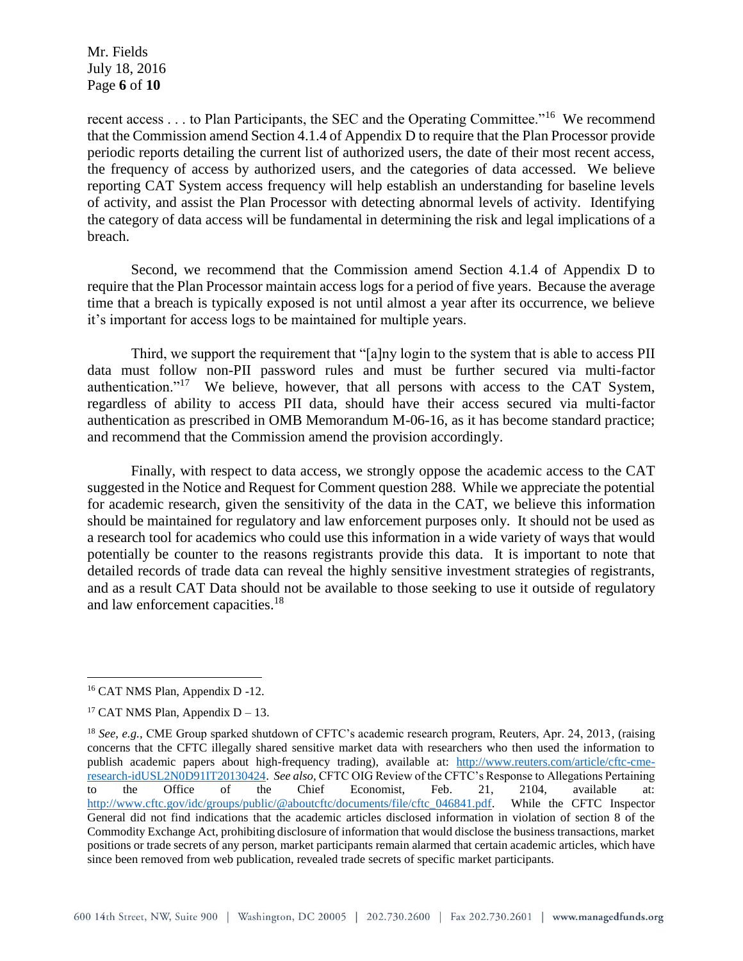Mr. Fields July 18, 2016 Page **6** of **10**

recent access . . . to Plan Participants, the SEC and the Operating Committee."<sup>16</sup> We recommend that the Commission amend Section 4.1.4 of Appendix D to require that the Plan Processor provide periodic reports detailing the current list of authorized users, the date of their most recent access, the frequency of access by authorized users, and the categories of data accessed. We believe reporting CAT System access frequency will help establish an understanding for baseline levels of activity, and assist the Plan Processor with detecting abnormal levels of activity. Identifying the category of data access will be fundamental in determining the risk and legal implications of a breach.

Second, we recommend that the Commission amend Section 4.1.4 of Appendix D to require that the Plan Processor maintain access logs for a period of five years. Because the average time that a breach is typically exposed is not until almost a year after its occurrence, we believe it's important for access logs to be maintained for multiple years.

Third, we support the requirement that "[a]ny login to the system that is able to access PII data must follow non-PII password rules and must be further secured via multi-factor authentication."<sup>17</sup> We believe, however, that all persons with access to the CAT System, regardless of ability to access PII data, should have their access secured via multi-factor authentication as prescribed in OMB Memorandum M-06-16, as it has become standard practice; and recommend that the Commission amend the provision accordingly.

Finally, with respect to data access, we strongly oppose the academic access to the CAT suggested in the Notice and Request for Comment question 288. While we appreciate the potential for academic research, given the sensitivity of the data in the CAT, we believe this information should be maintained for regulatory and law enforcement purposes only. It should not be used as a research tool for academics who could use this information in a wide variety of ways that would potentially be counter to the reasons registrants provide this data. It is important to note that detailed records of trade data can reveal the highly sensitive investment strategies of registrants, and as a result CAT Data should not be available to those seeking to use it outside of regulatory and law enforcement capacities.<sup>18</sup>

<sup>16</sup> CAT NMS Plan, Appendix D -12.

<sup>&</sup>lt;sup>17</sup> CAT NMS Plan, Appendix  $D - 13$ .

<sup>18</sup> *See, e.g.,* CME Group sparked shutdown of CFTC's academic research program, Reuters, Apr. 24, 2013, (raising concerns that the CFTC illegally shared sensitive market data with researchers who then used the information to publish academic papers about high-frequency trading), available at: [http://www.reuters.com/article/cftc-cme](http://www.reuters.com/article/cftc-cme-research-idUSL2N0D91IT20130424)[research-idUSL2N0D91IT20130424.](http://www.reuters.com/article/cftc-cme-research-idUSL2N0D91IT20130424) *See also,* CFTC OIG Review of the CFTC's Response to Allegations Pertaining to the Office of the Chief Economist, Feb. 21, 2104, available at: [http://www.cftc.gov/idc/groups/public/@aboutcftc/documents/file/cftc\\_046841.pdf.](http://www.cftc.gov/idc/groups/public/@aboutcftc/documents/file/cftc_046841.pdf) While the CFTC Inspector General did not find indications that the academic articles disclosed information in violation of section 8 of the Commodity Exchange Act, prohibiting disclosure of information that would disclose the business transactions, market positions or trade secrets of any person, market participants remain alarmed that certain academic articles, which have since been removed from web publication, revealed trade secrets of specific market participants.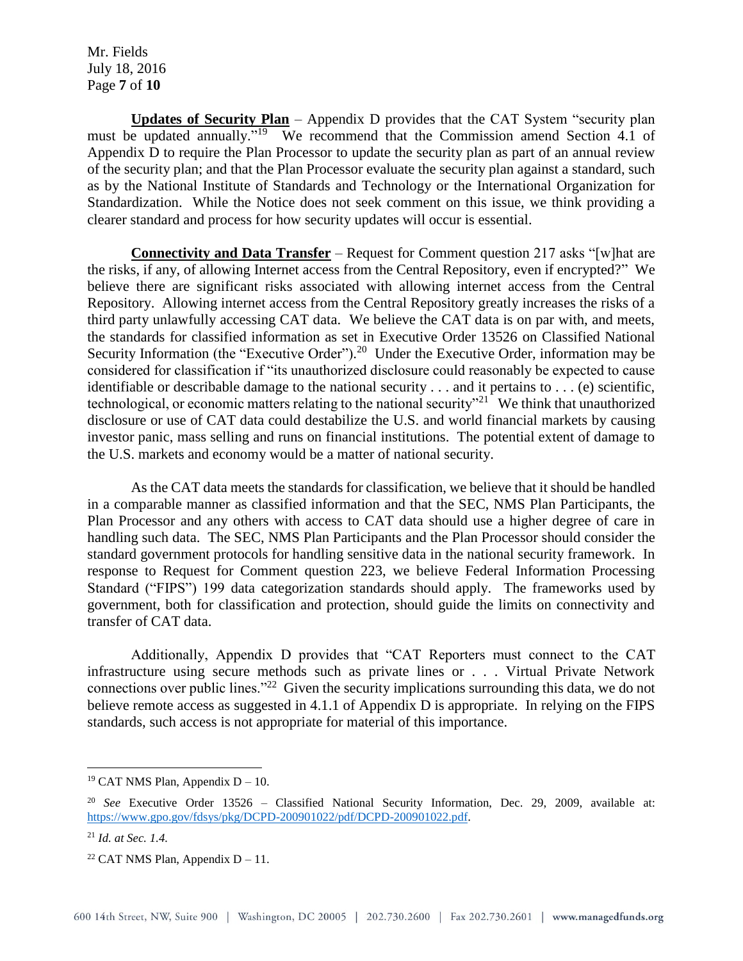Mr. Fields July 18, 2016 Page **7** of **10**

**Updates of Security Plan** – Appendix D provides that the CAT System "security plan must be updated annually."<sup>19</sup> We recommend that the Commission amend Section 4.1 of Appendix D to require the Plan Processor to update the security plan as part of an annual review of the security plan; and that the Plan Processor evaluate the security plan against a standard, such as by the National Institute of Standards and Technology or the International Organization for Standardization. While the Notice does not seek comment on this issue, we think providing a clearer standard and process for how security updates will occur is essential.

**Connectivity and Data Transfer** – Request for Comment question 217 asks "[w]hat are the risks, if any, of allowing Internet access from the Central Repository, even if encrypted?" We believe there are significant risks associated with allowing internet access from the Central Repository. Allowing internet access from the Central Repository greatly increases the risks of a third party unlawfully accessing CAT data. We believe the CAT data is on par with, and meets, the standards for classified information as set in Executive Order 13526 on Classified National Security Information (the "Executive Order").<sup>20</sup> Under the Executive Order, information may be considered for classification if "its unauthorized disclosure could reasonably be expected to cause identifiable or describable damage to the national security . . . and it pertains to . . . (e) scientific, technological, or economic matters relating to the national security"<sup>21</sup> We think that unauthorized disclosure or use of CAT data could destabilize the U.S. and world financial markets by causing investor panic, mass selling and runs on financial institutions. The potential extent of damage to the U.S. markets and economy would be a matter of national security.

As the CAT data meets the standards for classification, we believe that it should be handled in a comparable manner as classified information and that the SEC, NMS Plan Participants, the Plan Processor and any others with access to CAT data should use a higher degree of care in handling such data. The SEC, NMS Plan Participants and the Plan Processor should consider the standard government protocols for handling sensitive data in the national security framework. In response to Request for Comment question 223, we believe Federal Information Processing Standard ("FIPS") 199 data categorization standards should apply. The frameworks used by government, both for classification and protection, should guide the limits on connectivity and transfer of CAT data.

Additionally, Appendix D provides that "CAT Reporters must connect to the CAT infrastructure using secure methods such as private lines or . . . Virtual Private Network connections over public lines."<sup>22</sup> Given the security implications surrounding this data, we do not believe remote access as suggested in 4.1.1 of Appendix D is appropriate. In relying on the FIPS standards, such access is not appropriate for material of this importance.

<sup>&</sup>lt;sup>19</sup> CAT NMS Plan, Appendix  $D - 10$ .

<sup>20</sup> *See* Executive Order 13526 – Classified National Security Information, Dec. 29, 2009, available at: [https://www.gpo.gov/fdsys/pkg/DCPD-200901022/pdf/DCPD-200901022.pdf.](https://www.gpo.gov/fdsys/pkg/DCPD-200901022/pdf/DCPD-200901022.pdf)

<sup>21</sup> *Id. at Sec. 1.4.*

<sup>&</sup>lt;sup>22</sup> CAT NMS Plan, Appendix  $D - 11$ .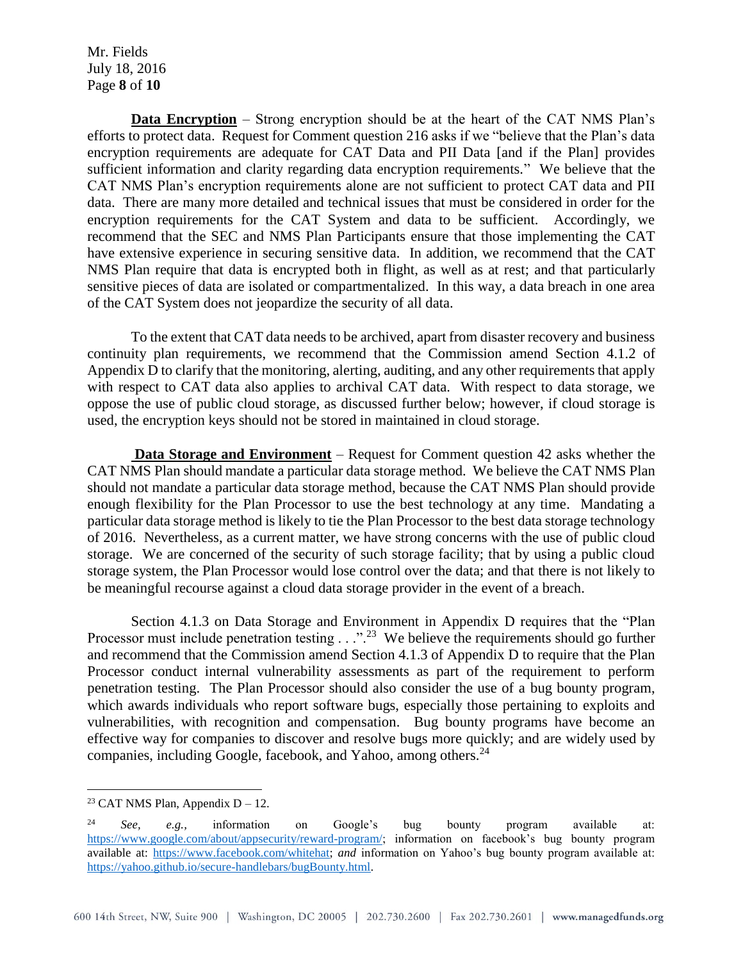Mr. Fields July 18, 2016 Page **8** of **10**

**Data Encryption** – Strong encryption should be at the heart of the CAT NMS Plan's efforts to protect data. Request for Comment question 216 asks if we "believe that the Plan's data encryption requirements are adequate for CAT Data and PII Data [and if the Plan] provides sufficient information and clarity regarding data encryption requirements." We believe that the CAT NMS Plan's encryption requirements alone are not sufficient to protect CAT data and PII data. There are many more detailed and technical issues that must be considered in order for the encryption requirements for the CAT System and data to be sufficient. Accordingly, we recommend that the SEC and NMS Plan Participants ensure that those implementing the CAT have extensive experience in securing sensitive data. In addition, we recommend that the CAT NMS Plan require that data is encrypted both in flight, as well as at rest; and that particularly sensitive pieces of data are isolated or compartmentalized. In this way, a data breach in one area of the CAT System does not jeopardize the security of all data.

To the extent that CAT data needs to be archived, apart from disaster recovery and business continuity plan requirements, we recommend that the Commission amend Section 4.1.2 of Appendix D to clarify that the monitoring, alerting, auditing, and any other requirements that apply with respect to CAT data also applies to archival CAT data. With respect to data storage, we oppose the use of public cloud storage, as discussed further below; however, if cloud storage is used, the encryption keys should not be stored in maintained in cloud storage.

**Data Storage and Environment** – Request for Comment question 42 asks whether the CAT NMS Plan should mandate a particular data storage method. We believe the CAT NMS Plan should not mandate a particular data storage method, because the CAT NMS Plan should provide enough flexibility for the Plan Processor to use the best technology at any time. Mandating a particular data storage method is likely to tie the Plan Processor to the best data storage technology of 2016. Nevertheless, as a current matter, we have strong concerns with the use of public cloud storage. We are concerned of the security of such storage facility; that by using a public cloud storage system, the Plan Processor would lose control over the data; and that there is not likely to be meaningful recourse against a cloud data storage provider in the event of a breach.

Section 4.1.3 on Data Storage and Environment in Appendix D requires that the "Plan Processor must include penetration testing  $\ldots$ ".<sup>23</sup> We believe the requirements should go further and recommend that the Commission amend Section 4.1.3 of Appendix D to require that the Plan Processor conduct internal vulnerability assessments as part of the requirement to perform penetration testing. The Plan Processor should also consider the use of a bug bounty program, which awards individuals who report software bugs, especially those pertaining to exploits and vulnerabilities, with recognition and compensation. Bug bounty programs have become an effective way for companies to discover and resolve bugs more quickly; and are widely used by companies, including Google, facebook, and Yahoo, among others.<sup>24</sup>

<sup>&</sup>lt;sup>23</sup> CAT NMS Plan, Appendix  $D - 12$ .

<sup>24</sup> *See, e.g.,* information on Google's bug bounty program available at: [https://www.google.com/about/appsecurity/reward-program/;](https://www.google.com/about/appsecurity/reward-program/) information on facebook's bug bounty program available at: [https://www.facebook.com/whitehat;](https://www.facebook.com/whitehat) *and* information on Yahoo's bug bounty program available at: [https://yahoo.github.io/secure-handlebars/bugBounty.html.](https://yahoo.github.io/secure-handlebars/bugBounty.html)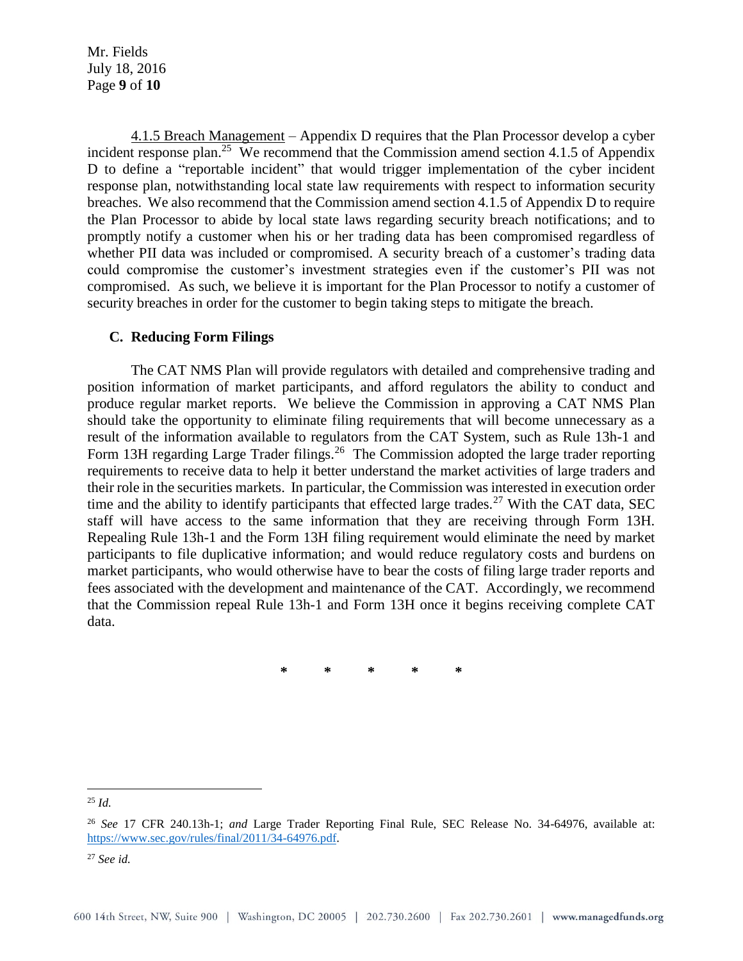Mr. Fields July 18, 2016 Page **9** of **10**

4.1.5 Breach Management – Appendix D requires that the Plan Processor develop a cyber incident response plan.<sup>25</sup> We recommend that the Commission amend section 4.1.5 of Appendix D to define a "reportable incident" that would trigger implementation of the cyber incident response plan, notwithstanding local state law requirements with respect to information security breaches. We also recommend that the Commission amend section 4.1.5 of Appendix D to require the Plan Processor to abide by local state laws regarding security breach notifications; and to promptly notify a customer when his or her trading data has been compromised regardless of whether PII data was included or compromised. A security breach of a customer's trading data could compromise the customer's investment strategies even if the customer's PII was not compromised. As such, we believe it is important for the Plan Processor to notify a customer of security breaches in order for the customer to begin taking steps to mitigate the breach.

#### **C. Reducing Form Filings**

The CAT NMS Plan will provide regulators with detailed and comprehensive trading and position information of market participants, and afford regulators the ability to conduct and produce regular market reports. We believe the Commission in approving a CAT NMS Plan should take the opportunity to eliminate filing requirements that will become unnecessary as a result of the information available to regulators from the CAT System, such as Rule 13h-1 and Form 13H regarding Large Trader filings.<sup>26</sup> The Commission adopted the large trader reporting requirements to receive data to help it better understand the market activities of large traders and their role in the securities markets. In particular, the Commission was interested in execution order time and the ability to identify participants that effected large trades.<sup>27</sup> With the CAT data, SEC staff will have access to the same information that they are receiving through Form 13H. Repealing Rule 13h-1 and the Form 13H filing requirement would eliminate the need by market participants to file duplicative information; and would reduce regulatory costs and burdens on market participants, who would otherwise have to bear the costs of filing large trader reports and fees associated with the development and maintenance of the CAT. Accordingly, we recommend that the Commission repeal Rule 13h-1 and Form 13H once it begins receiving complete CAT data.

**\* \* \* \* \***

<sup>25</sup> *Id.*

<sup>26</sup> *See* 17 CFR 240.13h-1; *and* Large Trader Reporting Final Rule, SEC Release No. 34-64976, available at: [https://www.sec.gov/rules/final/2011/34-64976.pdf.](https://www.sec.gov/rules/final/2011/34-64976.pdf) 

<sup>27</sup> *See id.*